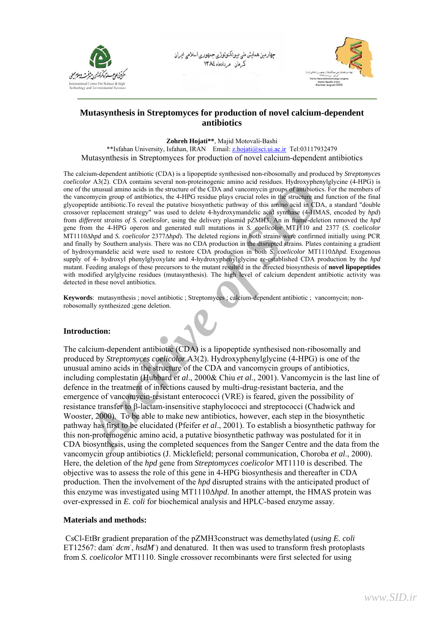

بھا*ر*مین ھمایش ملی بیوتکنولوڑی جمھوری اسلام<sub>ی</sub> کرمان مردادماه ١٣٨٤



# **Mutasynthesis in Streptomyces for production of novel calcium-dependent antibiotics**

**Zohreh Hojati\*\***, Majid Motovali-Bashi

\*\*Isfahan University, Isfahan, IRAN Email: [z.hojati@sci.ui.ac.ir](mailto:z.hojati@sci.ui.ac.ir) Tel:03117932479 Mutasynthesis in Streptomyces for production of novel calcium-dependent antibiotics

The calcium-dependent antibiotic (CDA) is a lipopeptide synthesised non-ribosomally and produced by *Streptomyces coelicolor* A3(2). CDA contains several non-proteinogenic amino acid residues. Hydroxyphenylglycine (4-HPG) is one of the unusual amino acids in the structure of the CDA and vancomycin groups of antibiotics. For the members of the vancomycin group of antibiotics, the 4-HPG residue plays crucial roles in the structure and function of the final glycopeptide antibiotic.To reveal the putative biosynthetic pathway of this amino acid in CDA, a standard "double crossover replacement strategy" was used to delete 4-hydroxymandelic acid synthase (4-HMAS, encoded by *hpd*) from *different strains of S. coelicolor*, using the delivery plasmid pZMH3. An in frame-deletion removed the *hpd* gene from the 4-HPG operon and generated null mutations in *S. coelicolor* MT1110 and 2377 (*S. coelicolor*  MT1110Δ*hpd* and *S. coelicolor* 2377Δ*hpd*). The deleted regions in both strains were confirmed initially using PCR and finally by Southern analysis. There was no CDA production in the disrupted strains. Plates containing a gradient of hydroxymandelic acid were used to restore CDA production in both *S. coelicolor* MT1110Δ*hpd*. Exogenous supply of 4- hydroxyl phenylglyoxylate and 4-hydroxyphenylglycine re-established CDA production by the *hpd* mutant. Feeding analogs of these precursors to the mutant resulted in the directed biosynthesis of **novel lipopeptides** with modified arylglycine residues (mutasynthesis). The high level of calcium dependent antibiotic activity was detected in these novel antibiotics.

**Keywords**: mutasynthesis ; novel antibiotic ; Streptomyces ; calcium-dependent antibiotic ; vancomycin; nonrobosomally synthesized ;gene deletion.

## **Introduction:**

*Archive Conducts* and the stream and evidence annot and estates. Aydoxy phare and the busines and the busines of the HIPG residue plays crucial release that the energy was used to delete 4-hydroxymatelic substitute of the The calcium-dependent antibiotic (CDA) is a lipopeptide synthesised non-ribosomally and produced by *Streptomyces coelicolor* A3(2). Hydroxyphenylglycine (4-HPG) is one of the unusual amino acids in the structure of the CDA and vancomycin groups of antibiotics, including complestatin (Hubbard *et al*., 2000& Chiu *et al*., 2001). Vancomycin is the last line of defence in the treatment of infections caused by multi-drug-resistant bacteria, and the emergence of vancomycin-resistant enterococci (VRE) is feared, given the possibility of resistance transfer to β-lactam-insensitive staphylococci and streptococci (Chadwick and Wooster, 2000). To be able to make new antibiotics, however, each step in the biosynthetic pathway has first to be elucidated (Pfeifer *et al*., 2001). To establish a biosynthetic pathway for this non-proteinogenic amino acid, a putative biosynthetic pathway was postulated for it in CDA biosynthesis, using the completed sequences from the Sanger Centre and the data from the vancomycin group antibiotics (J. Micklefield; personal communication, Choroba *et al*., 2000). Here, the deletion of the *hpd* gene from *Streptomyces coelicolor* MT1110 is described. The objective was to assess the role of this gene in 4-HPG biosynthesis and thereafter in CDA production. Then the involvement of the *hpd* disrupted strains with the anticipated product of this enzyme was investigated using MT1110Δ*hpd*. In another attempt, the HMAS protein was over-expressed in *E. coli* for biochemical analysis and HPLC-based enzyme assay.

### **Materials and methods:**

 CsCl-EtBr gradient preparation of the pZMH3construct was demethylated (*using E. coli* ET12567: dam<sup>-</sup> *dcm*, *hsdM*) and denatured. It then was used to transform fresh protoplasts from *S. coelicolor* MT1110. Single crossover recombinants were first selected for using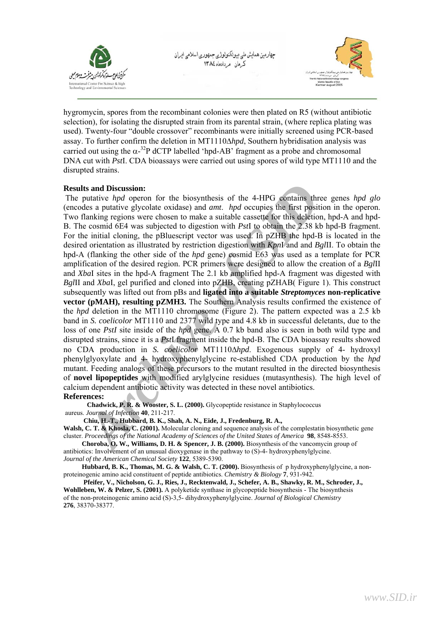



hygromycin, spores from the recombinant colonies were then plated on R5 (without antibiotic selection), for isolating the disrupted strain from its parental strain, (where replica plating was used). Twenty-four "double crossover" recombinants were initially screened using PCR-based assay. To further confirm the deletion in MT1110Δ*hpd*, Southern hybridisation analysis was carried out using the  $\alpha$ <sup>32</sup>P dCTP labelled 'hpd-AB' fragment as a probe and chromosomal DNA cut with *Pst*I. CDA bioassays were carried out using spores of wild type MT1110 and the disrupted strains.

## **Results and Discussion:**

**As and Discussion:**<br> **Alta Confidential Control** and *Controllative hpd* operator which the *APMG* compless the first position in<br>
thes a putative glycolate oxidase) and *amt.* hpd occupies the first position in<br>
lanking The putative *hpd* operon for the biosynthesis of the 4-HPG contains three genes *hpd glo* (encodes a putative glycolate oxidase) and *amt*. *hpd* occupies the first position in the operon. Two flanking regions were chosen to make a suitable cassette for this deletion, hpd-A and hpd-B. The cosmid 6E4 was subjected to digestion with *Pst*I to obtain the 2.38 kb hpd-B fragment. For the initial cloning, the pBluescript vector was used. In pZHB the hpd-B is located in the desired orientation as illustrated by restriction digestion with *Kpn*I and and *Bgl*II. To obtain the hpd-A (flanking the other side of the *hpd* gene) cosmid E63 was used as a template for PCR amplification of the desired region. PCR primers were designed to allow the creation of a *Bgl*II and *Xba*I sites in the hpd-A fragment The 2.1 kb amplified hpd-A fragment was digested with *Bgl*II and *Xba*I, gel purified and cloned into pZHB, creating pZHAB( Figure 1). This construct subsequently was lifted out from pBs and **ligated into a suitable** *Streptomyces* **non-replicative vector (pMAH), resulting pZMH3.** The Southern Analysis results confirmed the existence of the *hpd* deletion in the MT1110 chromosome (Figure 2). The pattern expected was a 2.5 kb band in *S. coelicolor* MT1110 and 2377 wild type and 4.8 kb in successful deletants, due to the loss of one *PstI* site inside of the *hpd* gene. A 0.7 kb band also is seen in both wild type and disrupted strains, since it is a *Pst*I fragment inside the hpd-B. The CDA bioassay results showed no CDA production in *S. coelicolor* MT1110Δ*hpd*. Exogenous supply of 4- hydroxyl phenylglyoxylate and 4- hydroxyphenylglycine re-established CDA production by the *hpd* mutant. Feeding analogs of these precursors to the mutant resulted in the directed biosynthesis of **novel lipopeptides** with modified arylglycine residues (mutasynthesis). The high level of calcium dependent antibiotic activity was detected in these novel antibiotics.

#### **References:**

 **Chadwick, P. R. & Wooster, S. L. (2000).** Glycopeptide resistance in Staphylococcus aureus. *Journal of Infection* **40**, 211-217.

 **Chiu, H.-T., Hubbard, B. K., Shah, A. N., Eide, J., Fredenburg, R. A.,** 

**Walsh, C. T. & Khosla, C. (2001).** Molecular cloning and sequence analysis of the complestatin biosynthetic gene cluster. *Proceedings of the National Academy of Sciences of the United States of America* **98***,* 8548-8553.

 **Choroba, O. W., Williams, D. H. & Spencer, J. B. (2000).** Biosynthesis of the vancomycin group of antibiotics: Involvement of an unusual dioxygenase in the pathway to (S)-4- hydroxyphenylglycine. *Journal of the American Chemical Society* **122**, 5389-5390.

 **Hubbard, B. K., Thomas, M. G. & Walsh, C. T. (2000).** Biosynthesis of p hydroxyphenylglycine, a nonproteinogenic amino acid constituent of peptide antibiotics. *Chemistry & Biology* **7**, 931-942.

 **Pfeifer, V., Nicholson, G. J., Ries, J., Recktenwald, J., Schefer, A. B., Shawky, R. M., Schroder, J., Wohlleben, W. & Pelzer, S. (2001).** A polyketide synthase in glycopeptide biosynthesis - The biosynthesis of the non-proteinogenic amino acid (S)-3,5- dihydroxyphenylglycine. *Journal of Biological Chemistry* **276**, 38370-38377.